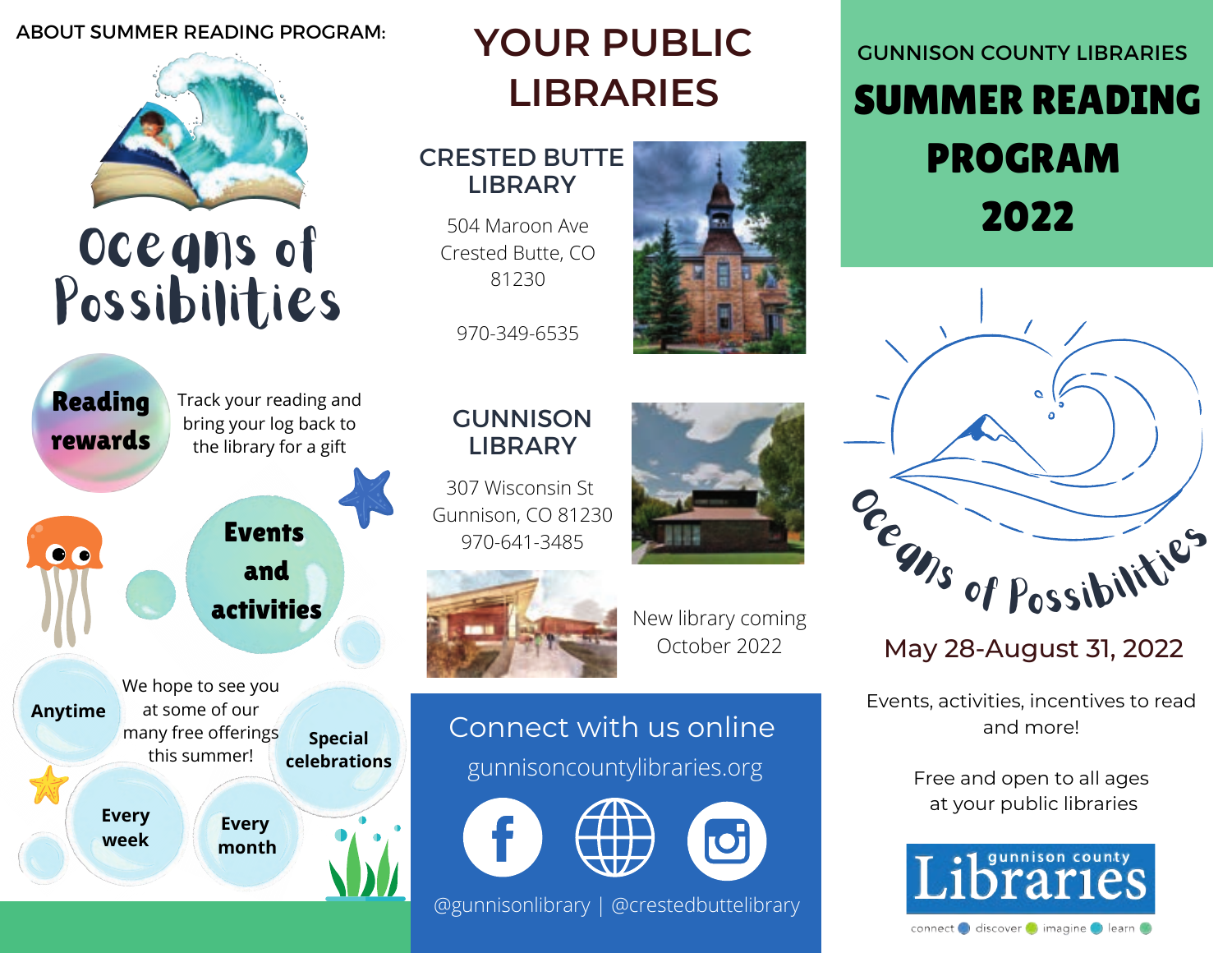### ABOUT SUMMER READING PROGRAM:



Oceans of Possibilities



## **YOUR PUBLIC LIBRARIES**

### CRESTED BUTTE LIBRARY

504 Maroon Ave Crested Butte, CO 81230

970-349-6535



307 Wisconsin St Gunnison, CO 81230 970-641-3485



New library coming October 2022

## Connect with us online

gunnisoncountylibraries.org





@gunnisonlibrary | @crestedbuttelibrary

# SUMMER READING PROGRAM 2022 GUNNISON COUNTY LIBRARIES



May 28-August 31, 2022

Events, activities, incentives to read and more!

> Free and open to all ages at your public libraries